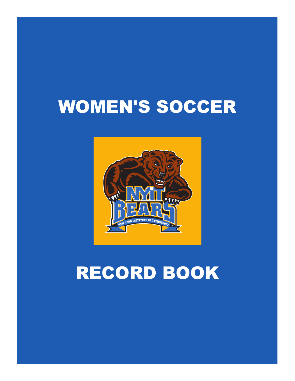# WOMEN'S SOCCER



# RECORD BOOK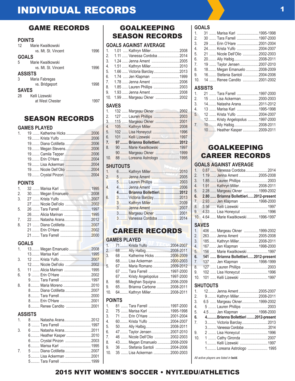# INDIVIDUAL RECORDS

## GAME RECORDS

#### **POINTS**

| 12             | Marie Kwaitkowski   |      |
|----------------|---------------------|------|
|                | vs. Mt. St. Vincent | 1996 |
| <b>GOALS</b>   |                     |      |
| 5              | Marie Kwaitkowski   |      |
|                | vs. Mt. St. Vincent | 1996 |
| <b>ASSISTS</b> |                     |      |
| 3              | Maria Fabregas      |      |
|                | vs. Bridgeport      | 1998 |
| <b>SAVES</b>   |                     |      |
| 28             | Kelli Lizewski      |      |
|                | at West Chester     |      |

# **SEASON RECORD**

#### **GAMES PLAYED**

| $\mathbf{1}$   | 19  Katherine Hicks 2006  |  |
|----------------|---------------------------|--|
|                | 19 Diana Cotilletta 2006  |  |
|                | 19 Megan Stevens2006      |  |
|                | 19 Camila Tepper2006      |  |
|                |                           |  |
|                | 19 Lisa Ackerman 2004     |  |
|                |                           |  |
|                |                           |  |
| <b>POINTS</b>  |                           |  |
| 1 <sub>1</sub> |                           |  |
| 2.             | 30 Megan Emanuelo 2008    |  |
| 3.             |                           |  |
|                |                           |  |
| 5.             |                           |  |
|                | 26 Alicia Marinan   1995  |  |
| 7.             | 22 Natasha Arana2012      |  |
| 8.             | 21  Diana Cotilletta 2007 |  |
|                | 21 Erin O'Hare  2002      |  |
|                |                           |  |
| <b>GOALS</b>   |                           |  |
| 1.             | 13 Megan Emanuelo 2008    |  |
|                |                           |  |
| 3.             |                           |  |
|                | 12 Nicole Dell'olio 2002  |  |
| 5.             | 11  Alicia Marinan  1995  |  |
| 6.             |                           |  |
|                | 9 Tara Farrell  1997      |  |
| 8.             | 8 Maria Moreno 2010       |  |
|                | 8 Diana Cotilletta 2007   |  |
|                |                           |  |
|                |                           |  |
|                | 8 Renee Candito 2001      |  |
|                | <b>ASSISTS</b>            |  |
| $\mathbf{1}$   | 8 Natasha Arana2012       |  |
|                | 8  Tara Farrell  1997     |  |
| 3.             | 6  Natasha Arana2011      |  |
|                | 6 Heather Kasper 2010     |  |

6......... Crystal Pinzon ..........................2003 6......... Marisa Karl ...............................1995 7. 5 ........ Diana Cotilletta ..........................2007 5......... Lisa Ackerman ..........................2001 5......... Tara Farrell ...............................1999

| ACAN REAARRE! |  |
|---------------|--|

|              | 2003. 127  Lauren Phillips 2003 |      |
|--------------|---------------------------------|------|
| CS           |                                 |      |
|              |                                 |      |
| $\dots$ 2006 | 5. 102  Lisa Honeycut  1996     |      |
| 2006         | 6. 101  Kelli Lizewski 1997     |      |
|              | 07 Prionna Pollottiori          | 2012 |

**SAVES**

| 7. 97 Brianna Bollettieri 2012  |  |
|---------------------------------|--|
| 8. 90  Marie Kwaitkowski  1997  |  |
| 90 Margeau Okner  1999          |  |
| 10. 88  Loreana Astrologo  1995 |  |
|                                 |  |

1. 132 ...... Margeau Okner ........................2002

GOALKEEPING SEASON RECORDS

1. 1.01 ..... Kathryn Miller.............................2008 2. 1.11 ...... Vanessa Cordoba......................2014 3. 1.24 ...... Jenna Ament ............................2005 4. 1.51 ...... Kathryn Miller.............................2010 5. 1.66 ...... Victoria Barclay..........................2013 6. 1.74 ..... Jen Klapman ............................1999 7. 1.78 ...... Jenna Ament ............................2006 8. 1.85 ...... Lauren Phillips ..........................2003 9. 1.93 ...... Jenna Ament .............................2008 10. 1.99 ...... Margeau Okner ........................2002

**GOALS AGAINST AVERAGE** 

#### **SHUTOUTS**

| 1.             |                                        |  |
|----------------|----------------------------------------|--|
|                | 2. 5  Jenna Ament 2005                 |  |
| W              |                                        |  |
| $\overline{4}$ |                                        |  |
| Ш              | 4 Brianna Bollettieri 2012             |  |
| 6.             |                                        |  |
|                | 3 M. Kathryn Miller Muller Muller 2009 |  |
|                | 3 Jenna Ament 2007                     |  |
|                |                                        |  |
|                | 3 Vanessa Cordoba2014                  |  |

### CAREER RECORDS

#### **GAMES PLAYED**

| 1.11 | 71 Krista Yulfo 2004-2007        |  |
|------|----------------------------------|--|
|      | 2. 68 Ally Halbig2008-2011       |  |
| 3.   | 68  Katherine Hicks 2006-2009    |  |
|      | 68 Lisa Ackerman 2000-2003       |  |
| 5.   | 67  Maria Romano 2009-2012       |  |
|      | 67  Tara Farrell 1997-2000       |  |
|      | 67 Kristy Angelopolus  1997-2000 |  |
|      | 66 Meghan Squigna 2006-2009      |  |
|      | 9. 65 Brianna Carbone 2008-2011  |  |
| 10.  | 64 Kathryn Miller2008-2011       |  |
|      | <b>POINTS</b>                    |  |
|      |                                  |  |

|    | 1. 81  Tara Farrell 1997-2000   |  |
|----|---------------------------------|--|
|    | 2. 75  Marisa Karl …1995-1998   |  |
|    | 3. 71  Erin O'Hare 2001-2004    |  |
| 4. | 60 Krista Yulfo 2004-2007       |  |
| 5. | 50 Ally Halbig2008-2011         |  |
| 6. | 47  Taylor Jensen 2007-2010     |  |
| 7. | 46  Nicole Dell'Olio 2002-2003  |  |
| 8. | 43 Megan Emanuelo 2008-2009     |  |
| 9. | 36  Stefania Santoli 2004-2006  |  |
|    | 10. 35  Lisa Ackerman 2000-2003 |  |
|    |                                 |  |

#### **GOALS**

| 1.  | 31  Marisa Karl 1995-1998      |  |
|-----|--------------------------------|--|
| 2.  | 30  Tara Farrell 1997-2000     |  |
| 3.  | 29  Erin O'Hare 2001-2004      |  |
| 4.  | 24  Krista Yulfo 2004-2007     |  |
| 5.  | 21  Nicole Dell'Olio 2002-2003 |  |
| 6.  | 20 Ally Halbig2008-2011        |  |
| 7.  | 19  Taylor Jensen 2007-2010    |  |
| 8.  | 18 Megan Emanuelo 2008-2009    |  |
| 9.  | 16 Stefania Santoli 2004-2006  |  |
| 10. | 14  Renee Candito 2001-2002    |  |
|     | ASSISTS                        |  |
|     | 1. 21  Tara Farrell 1997-2000  |  |
|     | 2. 15  Lisa Ackerman2000-2003  |  |
|     | 3. 14  Natasha Arana2011-2012  |  |
|     | 1 13 Mariea Karl 1005_1008     |  |

| 4. | 13  Marisa Karl 1995-1998        |  |
|----|----------------------------------|--|
| 5. | 12  Krista Yulfo 2004-2007       |  |
|    | 12 Kristy Angelopolus  1997-2000 |  |
| 7. | 10 Ally Halbig2008-2011          |  |
|    | 10 Heather Kasper 2009-2011      |  |

# GOALKEEPING CAREER RECORDS

#### **GOALS AGAINST AVERAGE**

| 1 <sub>1</sub> | 0.87  Vanessa Cordoba 2014            |  |
|----------------|---------------------------------------|--|
| 2.             | 1.19  Jenna Ament 2005-2008           |  |
| 3.             |                                       |  |
| 4.             | 1.91  Kathryn Miller2008-2011         |  |
| 5.             | 2.28  Margeau Okner  1999-2002        |  |
|                |                                       |  |
| 6.             | 2.80  Brianna Bollettieri2012-present |  |
| 7.             | 2.93  Jen Klapman 1998-2000           |  |
| 8.             | 3.56  Kelli Lizewski  1997            |  |
| 9.             | 4.33  Lisa Honeycut  1996             |  |
| 10.            | 4.64  Marie Kwaitkowski1996-1997      |  |

#### **SAVES**

| 1. | 406  Margeau Okner  1999-2002        |  |
|----|--------------------------------------|--|
| 2. | 263 Jenna Ament 2005-2008            |  |
| 3. | 185 Kathryn Miller2008-2011          |  |
| 4. | 167  Jen Klapman 1998-2000           |  |
| 5. | 156  Marie Kwaitkowski 1997          |  |
| 6. | 141  Brianna Bollettieri2012-present |  |
| 7. | 137  Jen Klapman 1998-1999           |  |
|    | 8. 127  Lauren Phillips  2003        |  |
| 9. |                                      |  |
|    | 102  Lisa Honeycut  1996             |  |

#### **SHUTOUTS**

| 1.  | 12 Jenna Ament 2005-2007          |  |
|-----|-----------------------------------|--|
| 2.  | 9 Kathryn Miller2008-2011         |  |
| 3.  | 6.5  Margeau Okner 1999-2002      |  |
| 4.  | 5  Lauren Phillips  2003          |  |
| 5.  | 4.5  Jen Klapman  1998-2000       |  |
| 6.  | 4Brianna Bollettieri 2012-present |  |
| 7.  | 3 Victoria Barclay 2013           |  |
|     | 3 Vanessa Cordoba 2014            |  |
| 9.  | 2  Lisa Honeycut  1996            |  |
| 10. | 1  Cathy Gironda 2007             |  |
|     | 1 Kelli Lizewski  1997            |  |
|     | 1 Loreana Astrologo  1995         |  |

*All active players are listed in* **bold***.*

# 2015 NYIT WOMEN'S SOCCER • NYIT.EDU/ATHLETICS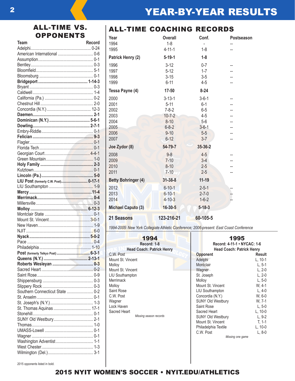# ALL-TIME VS. **OPPONENTS**

| <b>Team</b>                          | Record |
|--------------------------------------|--------|
|                                      |        |
|                                      |        |
|                                      |        |
|                                      |        |
|                                      |        |
|                                      |        |
|                                      |        |
|                                      |        |
|                                      |        |
|                                      |        |
|                                      |        |
|                                      |        |
|                                      |        |
|                                      |        |
|                                      |        |
|                                      |        |
|                                      |        |
|                                      |        |
|                                      |        |
|                                      |        |
|                                      |        |
|                                      |        |
|                                      |        |
|                                      |        |
| LIU Post (formerly C.W. Post) 0-17-1 |        |
|                                      |        |
|                                      |        |
|                                      |        |
|                                      |        |
|                                      |        |
|                                      |        |
|                                      |        |
|                                      |        |
|                                      |        |
|                                      |        |
|                                      |        |
|                                      |        |
|                                      |        |
|                                      |        |
|                                      |        |
|                                      |        |
|                                      |        |
|                                      |        |
| Southern Connecticut State  0-2      |        |
|                                      |        |
|                                      |        |
|                                      |        |
| St. Thomas Aquinas  17-1             |        |
|                                      |        |
|                                      |        |
|                                      |        |
|                                      |        |
|                                      |        |
|                                      |        |
|                                      |        |
|                                      |        |

## ALL-TIME COACHING RECORDS

| Year                       | <b>Overall</b> | Conf.        | Postseason |
|----------------------------|----------------|--------------|------------|
| 1994                       | $1 - 8$        |              |            |
| 1995                       | $4 - 11 - 1$   | $1 - 8$      |            |
| Patrick Henry (2)          | $5 - 19 - 1$   | $1 - 8$      |            |
| 1996                       | $3-12$         | $0 - 7$      | --         |
| 1997                       | $5 - 12$       | $1 - 7$      |            |
| 1998                       | $3 - 15$       | $3-5$        |            |
| 1999                       | $6 - 11$       | $4 - 5$      |            |
| Tessa Payne (4)            | $17 - 50$      | $8 - 24$     |            |
| 2000                       | $3 - 13 - 1$   | $3 - 6 - 1$  |            |
| 2001                       | $5 - 11$       | $6 - 1$      |            |
| 2002                       | $7 - 8 - 2$    | $6 - 5$      |            |
| 2003                       | $10 - 7 - 2$   | $4 - 5$      |            |
| 2004                       | $8 - 10$       | $5-6$        |            |
| 2005                       | $6 - 8 - 2$    | $3 - 6 - 1$  |            |
| 2006                       | $9 - 10$       | $5-5$        |            |
| 2007                       | $6 - 12$       | $3 - 7$      |            |
| Joe Zydor (8)              | 54-79-7        | 35-36-2      |            |
| 2008                       | $9 - 8$        | $4 - 5$      |            |
| 2009                       | $7 - 10$       | $3-4$        |            |
| 2010                       | $8 - 10$       | $2 - 5$      |            |
| 2011                       | $7 - 10$       | $2 - 5$      |            |
| <b>Betty Bohringer (4)</b> | $31 - 38 - 8$  | $11 - 19$    |            |
| 2012                       | $6 - 10 - 1$   | $2 - 5 - 1$  |            |
| 2013                       | $6 - 10 - 1$   | $2 - 7 - 0$  |            |
| 2014                       | $4 - 10 - 3$   | $1 - 6 - 2$  |            |
| <b>Michael Caputo (3)</b>  | $16 - 30 - 5$  | $5 - 18 - 3$ |            |
| 21 Seasons                 | 123-216-21     | 60-105-5     |            |

*1994-2005: New York Collegiate Athletic Conference; 2006-present: East Coast Conference*

т

| 1994                             |  |  |  |
|----------------------------------|--|--|--|
| Record: 1-8                      |  |  |  |
| <b>Head Coach: Patrick Henry</b> |  |  |  |
| C.W. Post                        |  |  |  |
| Mount St. Vincent                |  |  |  |
| Molloy                           |  |  |  |
| Mount St. Vincent                |  |  |  |
| <b>LIU Southampton</b>           |  |  |  |
| Merrimack                        |  |  |  |
| Molloy                           |  |  |  |
| Saint Rose                       |  |  |  |
| C.W. Post                        |  |  |  |
| Wagner                           |  |  |  |
| Lock Haven                       |  |  |  |
| Sacred Heart                     |  |  |  |
| Missing season records           |  |  |  |

| 1995                             |          |  |
|----------------------------------|----------|--|
| Record: 4-11-1 • NYCAC: 1-6      |          |  |
| <b>Head Coach: Patrick Henry</b> |          |  |
| Opponent                         | Result   |  |
| Adelphi                          | L, 10-1  |  |
| Montclair                        | L. 5-1   |  |
| Wagner                           | L, 2-0   |  |
| St. Joseph                       | L, 2-0   |  |
| Molloy                           | $L, 5-0$ |  |
| Mount St. Vincent                | W. 4-1   |  |
| LIU Southampton                  | $L, 4-0$ |  |
| Concordia (N.Y.)                 | W, 6-0   |  |
| <b>SUNY Old Westbury</b>         | W. 7-1   |  |
| Saint Rose                       | $L, 5-0$ |  |
| Sacred Heart                     | L, 10-0  |  |
| SUNY Old Westbury                | $L, 9-2$ |  |
| Mount St. Vincent                | $T, 1-1$ |  |
| Philadelphia Textile             | L, 10-0  |  |
| C.W. Post                        | L, 8-0   |  |
| Missing one game                 |          |  |

#### 2015 opponents listed in bold.

# 2015 NYIT WOMEN'S SOCCER • NYIT.EDU/ATHLETICS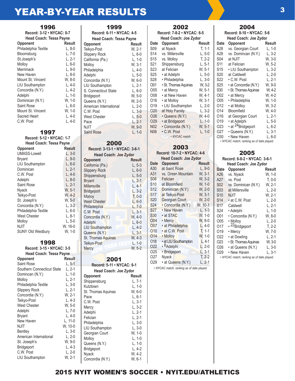# **YEAR-BY-YEAR RESULTS** 2 2 2 3 3

| Record: 3-12 • NYCAC: 0-7<br><b>Head Coach: Tessa Payne</b><br>Opponent<br>Philadelphia Textile<br>Bloomsburg<br>St.Joseph's<br>Molloy<br>Merrimack<br>New Haven<br>Mount St. Vincent<br><b>LIU Southampton</b><br>Concordia (N.Y.)<br>Adelphi<br>Dominican (N.Y.)<br><b>Saint Rose</b><br>Mount St. Vincent<br>Sacred Heart<br>C.W. Post | 1996 |          |
|-------------------------------------------------------------------------------------------------------------------------------------------------------------------------------------------------------------------------------------------------------------------------------------------------------------------------------------------|------|----------|
|                                                                                                                                                                                                                                                                                                                                           |      |          |
|                                                                                                                                                                                                                                                                                                                                           |      |          |
|                                                                                                                                                                                                                                                                                                                                           |      | Result   |
|                                                                                                                                                                                                                                                                                                                                           |      | L. 8-0   |
|                                                                                                                                                                                                                                                                                                                                           |      | $L, 7-0$ |
|                                                                                                                                                                                                                                                                                                                                           |      | $L, 2-1$ |
|                                                                                                                                                                                                                                                                                                                                           |      | L. 6-0   |
|                                                                                                                                                                                                                                                                                                                                           |      | L. 9-0   |
|                                                                                                                                                                                                                                                                                                                                           |      | L. 8-0   |
|                                                                                                                                                                                                                                                                                                                                           |      | W. 8-0   |
|                                                                                                                                                                                                                                                                                                                                           |      | L. 4-0   |
|                                                                                                                                                                                                                                                                                                                                           |      | L. 4-2   |
|                                                                                                                                                                                                                                                                                                                                           |      | $L, 1-0$ |
|                                                                                                                                                                                                                                                                                                                                           |      | W, 1-0   |
|                                                                                                                                                                                                                                                                                                                                           |      | L. 6-0   |
|                                                                                                                                                                                                                                                                                                                                           |      | W. 1-0   |
|                                                                                                                                                                                                                                                                                                                                           |      | L, 4-0   |
|                                                                                                                                                                                                                                                                                                                                           |      | L. 4-0   |

#### 1997

| Record: 5-12 • NYCAC: 1-7<br><b>Head Coach: Tessa Payne</b> |          |  |
|-------------------------------------------------------------|----------|--|
|                                                             |          |  |
| <b>Opponent</b>                                             | Result   |  |
| UMASS-Lowell                                                | L, 3-0   |  |
| Bryant                                                      | L, 9-0   |  |
| LIU Southampton                                             | $L, 6-0$ |  |
| Dominican                                                   | L, 2-1   |  |
| C.W. Post                                                   | L, 4-0   |  |
| Adelphi                                                     | $L, 8-0$ |  |
| Saint Rose                                                  | $L, 2-1$ |  |
| Nyack                                                       | W. 5-1   |  |
| Teikyo-Post                                                 | W. 4-2   |  |
| St. Joseph's                                                | W. 5-0   |  |
| Concordia (N.Y.)                                            | $L.3-2$  |  |
| Philadelphia Textile                                        | $L, 6-0$ |  |
| <b>West Chester</b>                                         | L, 8-1   |  |
| Molloy                                                      | L. 5-0   |  |
| NJIT                                                        | W. 16-0  |  |
| <b>SUNY Old Westbury</b>                                    | W. 1-0   |  |
|                                                             |          |  |

#### 1998

| Record: 3-15 · NYCAC: 3-5      |          | N |
|--------------------------------|----------|---|
| <b>Head Coach: Tessa Payne</b> |          |   |
| Opponent                       | Result   |   |
| <b>Saint Rose</b>              | $L, 5-1$ |   |
| Southern Connecticut State     | L, 2-1   |   |
| Domincan (N.Y.)                | L. 1-0   | C |
| Molloy                         | L. 2-1   | S |
| Philadelphia Textile           | L, 3-0   | Κ |
| <b>Slippery Rock</b>           | L, 2-1   | S |
| Concordia (N.Y.)               | W. 2-1   | Ρ |
| Teikyo-Post                    | L, 4-3   | С |
| <b>West Chester</b>            | W. 5-0   | N |
| Adelphi                        | L. 7-0   | A |
| <b>Bryant</b>                  | $L, 4-0$ | F |
| New Haven                      | L, 11-0  | P |
| NJIT                           | W, 10-0  | L |
| <b>Bentley</b>                 | L, 3-0   | G |
| American International         | L. 2-0   | N |
| St. Joseph's                   | W, 9-0   | C |
| Bridgeport                     | L, 4-3   | B |
| C.W. Post                      | L. 2-0   | N |
| LIU Southampton                | W, 2-1   | r |

#### 1999 **Record: 6-11 • NYCAC: 4-5 Head Coach: Tessa Payne Opponent Result**<br> **Teikyo-Post W** 2-1 Teikyo-Post

| IUINVU-LOSI            | VV. ∠− I |
|------------------------|----------|
| <b>Slippery Rock</b>   | $L, 6-0$ |
| California (Pa.)       | $L, 1-0$ |
| Molloy                 | W. 3-1   |
| Philadelphia           | $L.4-0$  |
| Adelphi                | $L, 5-0$ |
| Concordia (N.Y.)       | W, 6-0   |
| <b>LIU Southampton</b> | L. 2-1   |
| S. Connecticut State   | L, 6-0   |
| <b>Bridgeport</b>      | W, 5-0   |
| Queens (N.Y.)          | W, 2-0   |
| American International | L. 2-0   |
| C.W. Post              | $L, 3-0$ |
| <b>West Chester</b>    | $L, 5-0$ |
| Pace                   | $L, 2-1$ |
| <b>NJIT</b>            | W. 9-0   |
| <b>Saint Rose</b>      | $L, 1-0$ |
|                        |          |
|                        |          |

#### 2000 **Record: 3-13-1 • NYCAC: 3-6-1**

| Record: 3-13-1 • NYCAC: 3-6-1 |          |  |  |
|-------------------------------|----------|--|--|
| <b>Head Coach: Joe Zydor</b>  |          |  |  |
| <b>Opponent</b>               | Result   |  |  |
| California (Pa.)              | L. 5-3   |  |  |
| <b>Slippery Rock</b>          | L. 6-0   |  |  |
| Shippensburg                  | L, 5-0   |  |  |
| <b>Bryant</b>                 | $L, 2-1$ |  |  |
| Millersville                  | L. 4-1   |  |  |
| <b>Bridgeport</b>             | $L, 3-2$ |  |  |
| Molloy                        | $T, 0-0$ |  |  |
| <b>West Chester</b>           | $L, 6-0$ |  |  |
| Philadelphia                  | $L, 7-0$ |  |  |
| C.W. Post                     | L. 3-1   |  |  |
| Concordia (N.Y.)              | $W, 4-0$ |  |  |
| Adelphi                       | $L, 6-0$ |  |  |
| LIU Southampton               | $L, 4-2$ |  |  |
| Queens (N.Y.)                 | $L, 3-1$ |  |  |
| St. Thomas Aquinas            | W. 4-3   |  |  |
| Teikyo-Post                   | $L, 1-0$ |  |  |
| <b>Mercy</b>                  | W, 5-2   |  |  |

### 2001

| Record: 5-11 • NYCAC: 6-1    |          |  |
|------------------------------|----------|--|
| <b>Head Coach: Joe Zydor</b> |          |  |
| Opponent                     | Result   |  |
| Shippensburg                 | L. 7-1   |  |
| Kutztown                     | L, 1-0   |  |
| St. Thomas Aquinas           | W. 6-0   |  |
| Pace                         | L. 6-1   |  |
| C.W. Post                    | L. 3-1   |  |
| Mercy                        | L. 3-2   |  |
| Adelphi                      | L. 2-1   |  |
| Felician                     | L. 2-1   |  |
| Philadelphia                 | $L, 3-0$ |  |
| <b>LIU Southampton</b>       | L. 3-0   |  |
| Georgian Court               | W. 1-0   |  |
| Molloy                       | L. 1-0   |  |
| Queens (N.Y.)                | L. 1-0   |  |
| Bridgeport                   | L. 4-2   |  |
| Nyack                        | W. 4-2   |  |
| Concordia (N.Y.)             | W, 6-1   |  |

#### 2002 **Record: 7-8-2 • NYCAC: 6-5 Head Coach: Joe Zydor Date Opponent Result**<br>S09 at Nvack **T**. 1-1 S09 at Nyack T, 1-1<br>S14 vs. Millersville L, 5-0 S14 vs. Millersville S15 vs. Molloy T, 2-2<br>S21 Shippensburg L, 5-1 S21 Shippensburg L, 5-1<br>S23 at Felician W, 5-1 S23 at Felician W, 5-1<br>S25 at Adelphi L, 5-0 S25 • at Adelphi L, 5-0<br>S28 • Philadelphia L, 3-0 S28 • Philadelphia O01 • St. Thomas Aquinas W, 3-2<br>O05 • at Mercy W, 5-1 O05 • at Mercy W, 5-1<br>O08 • at New Haven W, 4-1 O08 • at New Haven W, 4-1<br>O16 • at Mollov W. 3-1 O16 • at Molloy W, 3-1<br>O19 • LIU Southampton L, 2-0 O19 • LIU Southampton O20 at Holy Family L, 3-2<br>O26 · Queens (N.Y.) W, 4-0  $O26$  • Queens (N.Y.) O29 • at Bridgeport L, 1-0<br>N02 • Concordia (N.Y.) W, 5-1  $N02 \cdot$  Concordia (N.Y.) N06 • C.W. Post L, 1-0 *• NYCAC match*

# 2003

| Record: 10-7-2 • NYCAC: 4-6  |                        |               |  |  |
|------------------------------|------------------------|---------------|--|--|
| <b>Head Coach: Joe Zydor</b> |                        |               |  |  |
| Date                         | <b>Opponent</b>        | <b>Result</b> |  |  |
| A30                          | at Saint Rose          | $L, 9-0$      |  |  |
| A31                          | vs. Green Mountain     | W, 3-1        |  |  |
| <b>S08</b>                   | Felician               | W. 3-2        |  |  |
| S <sub>10</sub>              | at Bloomfield          | W. 1-0        |  |  |
| S12                          | Dominican (N.Y.)       | W. 2-0        |  |  |
| S <sub>17</sub>              | at Teikyo-Post         | W. 3-1        |  |  |
| S <sub>20</sub>              | Georgian Court         | W. 2-0        |  |  |
| S24                          | • Concordia (N.Y.)     | W, 10-1       |  |  |
| S27                          | • New Haven            | $L, 1-3$      |  |  |
| S30                          | • at STAC              | W, 1-0        |  |  |
| O <sub>04</sub>              | • Mercy                | W, 8-0        |  |  |
| O07                          | · at Philadelphia      | $L.4-0$       |  |  |
| O <sub>10</sub>              | · at C.W. Post         | $T, 1-1$      |  |  |
| 014                          | • Molloy               | $W, 1-0$      |  |  |
| 018                          | · at LIU Southampton   | $L, 4-1$      |  |  |
| 022                          | • <sup>6</sup> Adelphi | $L, 2-0$      |  |  |
| 025                          | · Bridgeport           | $L, 3-1$      |  |  |
| 027                          | Nyack                  | $T, 2-2$      |  |  |
| 029                          | · at Queens (N.Y.)     | $L, 2-1$      |  |  |
|                              |                        |               |  |  |

*• NYCAC match; ranking as of date played.*

# 2004

|                 | Record: 8-10 · NYCAC: 5-6                 |          |
|-----------------|-------------------------------------------|----------|
|                 | Head Coach: Joe Zydor                     |          |
| Date            | Opponent                                  | Result   |
| A28             | vs. Georgian Court                        | $L, 1-0$ |
| A28             | vs. Domincan (N.Y.)                       | $L, 3-2$ |
| S04             | at NJIT                                   | W. 3-0   |
| S11             | at Felician                               | W. 5-2   |
| S15             | • LIU Southampton                         | L. 3-2   |
| S20             | at Caldwell                               | L, 2-0   |
| S22             | • C.W. Post                               | L. 2-1   |
| S25             | • at Concordia (N.Y.)                     | W, 9-0   |
| S30             | · St. Thomas Aquinas                      | W, 4-2   |
| O02             | • at Mercy                                | W, 4-2   |
| O05             | • Philadelphia                            | W, 1-0   |
| 012             | • at Molloy                               | W. 3-2   |
| 014             | Bloomfield                                | W, 4-0   |
| 016             | at Georgian Court                         | L. 2-1   |
| O <sub>19</sub> | • at Adelphi                              | $L, 5-0$ |
| O23             | • at <sup>24</sup> Bridgeport             | L, 6-2   |
| 027             | • Queens (N.Y.)                           | L. 3-1   |
| O30             | • New Haven                               | L, 6-0   |
|                 | · NYCAC match; ranking as of date played. |          |

## 2005

**Record: 6-8-2 • NYCAC: 3-6-1**

| <b>Head Coach: Joe Zydor</b> |                                           |          |  |
|------------------------------|-------------------------------------------|----------|--|
| Date                         | Opponent                                  | Result   |  |
| A26                          | vs. Nyack                                 | W. 1-0   |  |
| A27                          | vs. Post                                  | $T. 0-0$ |  |
| S <sub>02</sub>              | vs. Dominican (N.Y.)                      | W. 2-1   |  |
| S <sub>0</sub> 3             | at Millersville                           | L. 2-0   |  |
| S10                          | NJIT                                      | W, 2-1   |  |
| S <sub>14</sub>              | • at C.W. Post                            | L. 2-0   |  |
| S <sub>17</sub>              | Caldwell                                  | L. 2-1   |  |
| S24                          | • Adelphi                                 | $L, 1-0$ |  |
| O01                          | • Concordia (N.Y.)                        | W. 8-0   |  |
| O05                          | • Molloy                                  | L. 2-0   |  |
| 017                          | • <sup>22</sup> Bridgeport                | $T, 2-2$ |  |
| O <sub>19</sub>              | • Mercy                                   | W. 7-0   |  |
| 022                          | • at Dowling                              | L. 2-1   |  |
| O <sub>2</sub> 3             | • St. Thomas Aguinas                      | W, 3-0   |  |
| 026                          | • at Queens (N.Y.)                        | $L, 3-0$ |  |
| O <sub>29</sub>              | • New Haven                               | L. 3-1   |  |
|                              | · NYCAC match; ranking as of date played. |          |  |